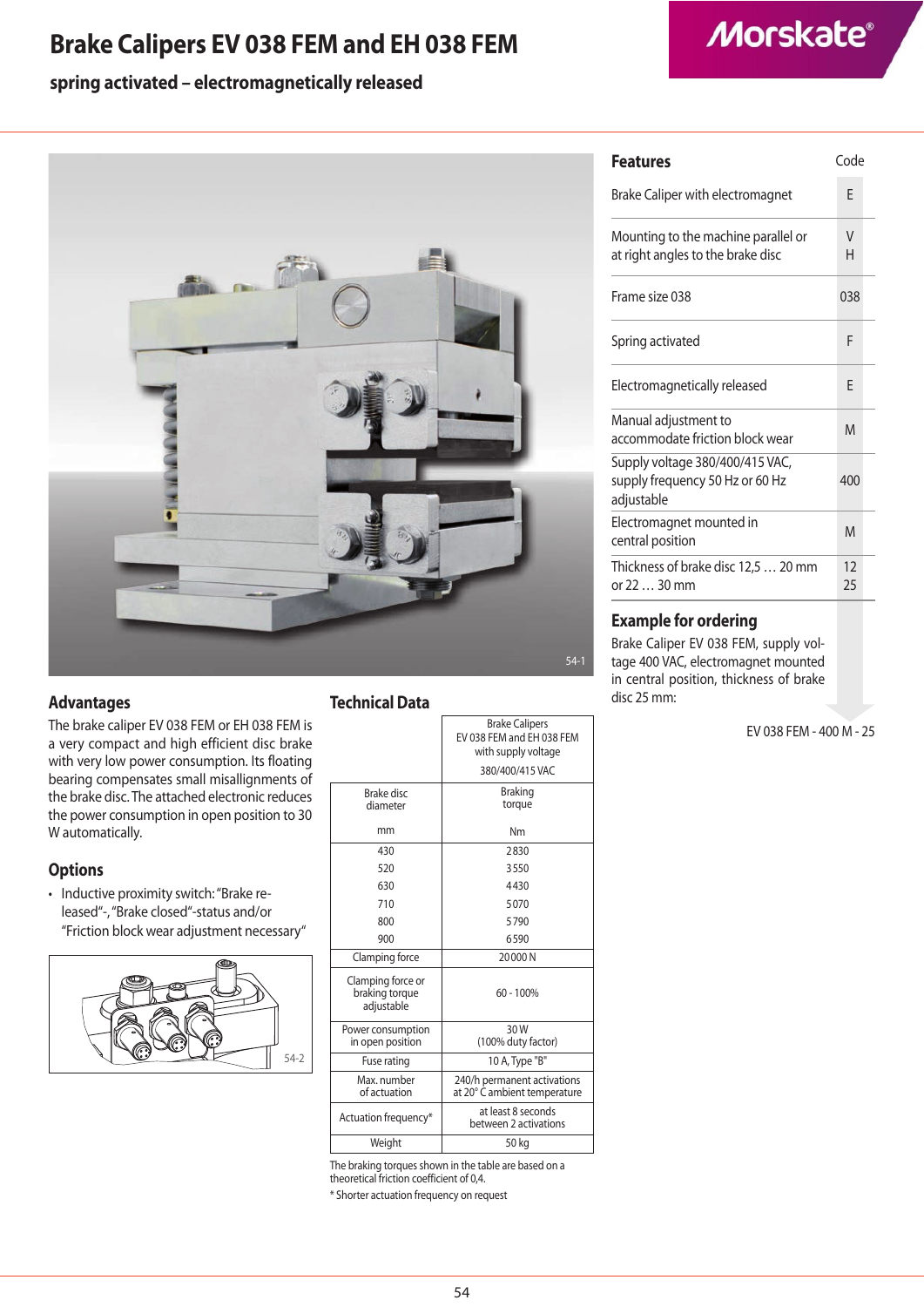### **Brake Calipers EV 038 FEM and EH 038 FEM**

## **Morskate®**

### **spring activated – electromagnetically released**



#### **Advantages**

The brake caliper EV 038 FEM or EH 038 FEM is a very compact and high efficient disc brake with very low power consumption. Its floating bearing compensates small misallignments of the brake disc. The attached electronic reduces the power consumption in open position to 30 W automatically.

### **Options**

• Inductive proximity switch: "Brake released"-, "Brake closed"-status and/or "Friction block wear adjustment necessary"



### **Technical Data**

|                                                   | <b>Brake Calipers</b><br>EV 038 FEM and EH 038 FEM<br>with supply voltage |
|---------------------------------------------------|---------------------------------------------------------------------------|
|                                                   | 380/400/415 VAC                                                           |
| Brake disc<br>diameter                            | <b>Braking</b><br>torque                                                  |
| mm                                                | Nm                                                                        |
| 430                                               | 2830                                                                      |
| 520                                               | 3550                                                                      |
| 630                                               | 4430                                                                      |
| 710                                               | 5070                                                                      |
| 800                                               | 5790                                                                      |
| 900                                               | 6590                                                                      |
| Clamping force                                    | 20000N                                                                    |
| Clamping force or<br>braking torque<br>adjustable | $60 - 100%$                                                               |
| Power consumption<br>in open position             | 30W<br>(100% duty factor)                                                 |
| Fuse rating                                       | 10 A, Type "B"                                                            |
| Max. number<br>of actuation                       | 240/h permanent activations<br>at 20° C ambient temperature               |
| Actuation frequency*                              | at least 8 seconds<br>between 2 activations                               |
| Weight                                            | 50 kg                                                                     |
|                                                   |                                                                           |

The braking torques shown in the table are based on a theoretical friction coefficient of 0,4. \* Shorter actuation frequency on request

| <b>Features</b>                                                                  |          |
|----------------------------------------------------------------------------------|----------|
| Brake Caliper with electromagnet                                                 | F        |
| Mounting to the machine parallel or<br>at right angles to the brake disc         | V<br>н   |
| Frame size 038                                                                   | 038      |
| Spring activated                                                                 | F        |
| Electromagnetically released                                                     | F        |
| Manual adjustment to<br>accommodate friction block wear                          | M        |
| Supply voltage 380/400/415 VAC,<br>supply frequency 50 Hz or 60 Hz<br>adjustable | 400      |
| Electromagnet mounted in<br>central position                                     | M        |
| Thickness of brake disc 12,5  20 mm<br>or 22  30 mm                              | 12<br>25 |
|                                                                                  |          |

### **Example for ordering**

Brake Caliper EV 038 FEM, supply voltage 400 VAC, electromagnet mounted in central position, thickness of brake disc 25 mm:

EV 038 FEM - 400 M - 25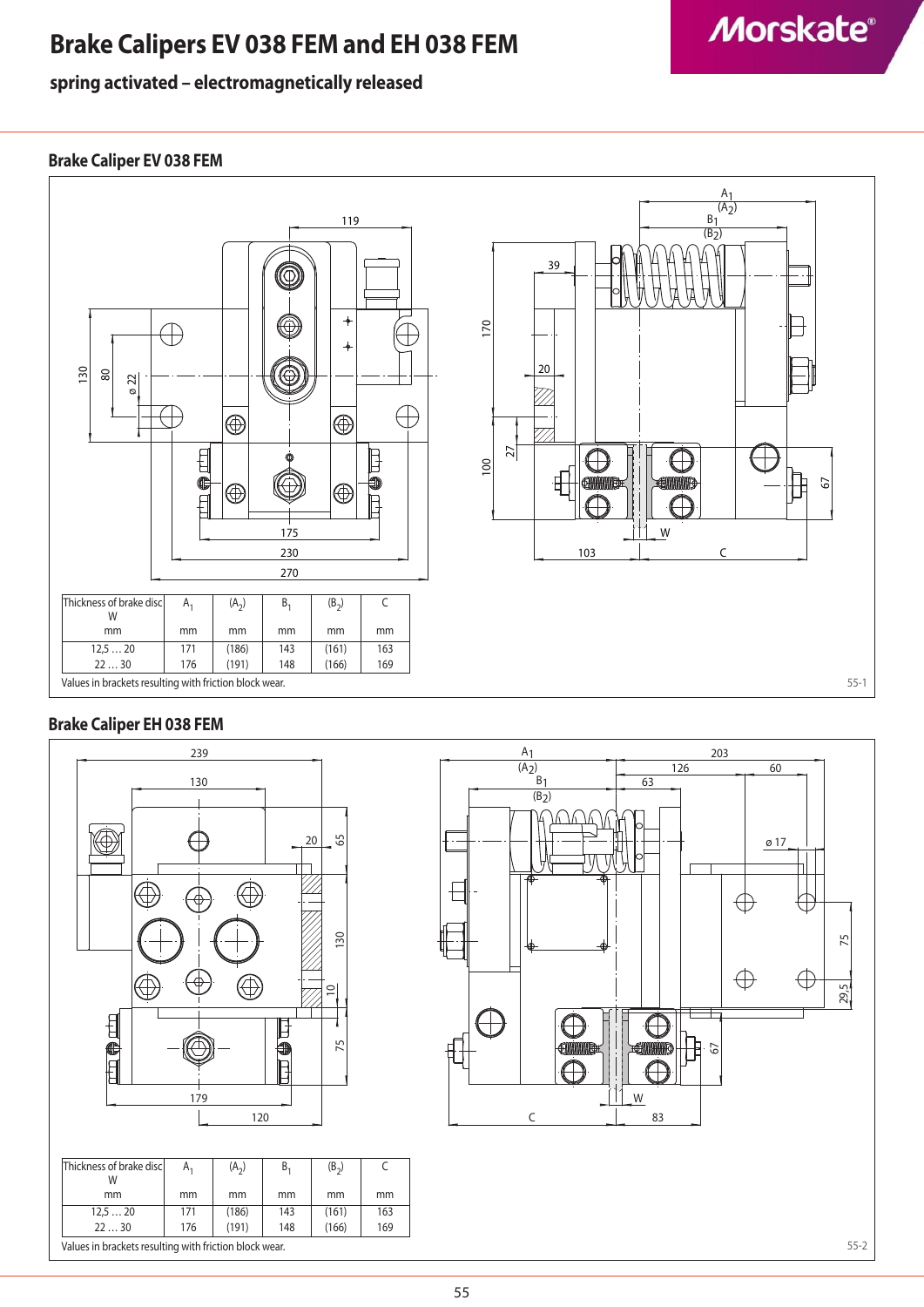### **Brake Calipers EV 038 FEM and EH 038 FEM**

### **spring activated – electromagnetically released**

## **Morskate®**

### **Brake Caliper EV 038 FEM**



### **Brake Caliper EH 038 FEM**





55-2

C mm